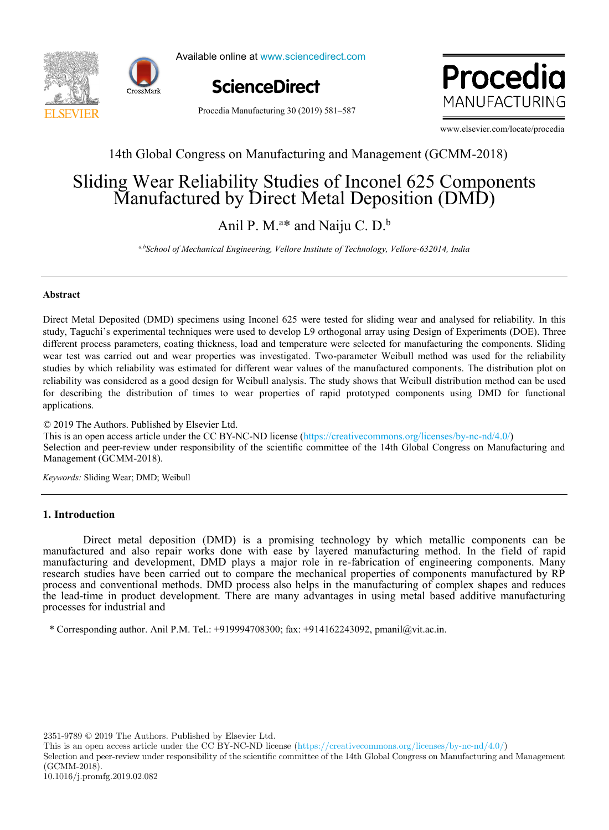



Available online at www.sciencedirect.com online at www.sciencedi



Procedia **MANUFACTURING** 

Procedia Manufacturing 30 (2019) 581–587

www.elsevier.com/locate/procedia

## 14th Global Congress on Manufacturing and Management (GCMM-2018)

# $M$ anufactureu by Direct Interatioeposition  $(DMD)$ Sliding Wear Reliability Studies of Inconel 625 Components a b Sliding Wear Reliability Studies of Inconel 625 Components Manufactured by Direct Metal Deposition (DMD)

 $\lambda$ pil P. M. <sup>a\*</sup> and Naiju C. D. <sup>b</sup> *a,bSchool of Mechanical Engineering, Vellore Institute of Technology, Vellore-632014, India* Anil P. M.<sup>a\*</sup> and Naiju C. D.<sup>b</sup>

<sup>a,b</sup>School of Mechanical Engineering, Vellore Institute of Technology, Vellore-632014, India

between used capacity and operational efficiency  $\mathcal{L}_{\mathcal{A}}$ 

#### **Abstract**

study, Taguchi's experimental techniques were used to develop L9 orthogonal array using Design of Experiments (DOE). Three different process parameters, coating thickness, load and temperature were selected for manufacturing the components. Sliding Feriability was considered as a good design for weibuin analysis. The study shows that weibuin distribution freehod can be used<br>for describing the distribution of times to wear properties of rapid prototyped components usi  $\mu_{\text{up}}$  applications. Direct Metal Deposited (DMD) specimens using Inconel 625 were tested for sliding wear and analysed for reliability. In this wear test was carried out and wear properties was investigated. Two-parameter Weibull method was used for the reliability studies by which reliability was estimated for different wear values of the manufactured components. The distribution plot on reliability was considered as a good design for Weibull analysis. The study shows that Weibull distribution method can be used applications.

© 2019 The Authors. Published by Elsevier Ltd.  $\&$  2019 The Authors. I donside by Essevier Eta.<br>This is an open access article under the CC BY-NC-ND license (https://creativecommons.org/licenses/by-nc-nd/4.0/) Selection and peer-review under responsibility of the scientific committee of the 14th Global Congress on Manufacturing and<br>Selection and peer-review under responsibility of the scientific committee of the 14th Global Cong  $\frac{1}{2}$  maximuzation. The study of costing models is an important research to  $\frac{1}{2}$  and  $\frac{1}{2}$  that deserves  $\frac{1}{2}$  and  $\frac{1}{2}$  and  $\frac{1}{2}$  and  $\frac{1}{2}$  and  $\frac{1}{2}$  and  $\frac{1}{2}$  and  $\frac{1}{2}$  and  $\frac{1$ Selection and perfection and responsibility of the scientific committee of the 14th Global Congress on Manufacturing and Management (GCMM-2018). (GCMM-2018).

model for capacity management based on different costing models (ABC and TDABC). A generic model has been

*Keywords:* Sliding Wear; DMD; Weibull *Keywords:* Sliding Wear; DMD; Weibull

#### $\mathbf{I}$ . Introduction value of  $\mathbf{I}$  is shown that capacity is highlighted and it is shown that capacity is shown that capacity is shown that capacity is shown that capacity is shown that capacity is shown that capaci **1. Introduction**

Direct metal deposition (DMD) is a promising technology by which metallic components can be manufactured and also repair works done with ease by layered manufacturing method. In the field of rapid manufacturing and development, DMD plays a major role in re-fabrication of engineering components. Many manufacturing and development, DMD plays a major role in re-fabrication of engineering components. Many research studies have been carried out to compare the mechanical properties of components manufactured by RP research studies have been carried out to compare the mechanical properties of components manufactured by RP the lead-time in product development. There are many advantages in using metal based additive manufacturing process and conventional methods. DMD process also helps in the manufacturing of complex shapes and reduces processes for industrial and  $\frac{1}{\sqrt{2}}$  and  $\frac{1}{\sqrt{2}}$  and  $\frac{1}{\sqrt{2}}$  and  $\frac{1}{\sqrt{2}}$  and  $\frac{1}{\sqrt{2}}$  and  $\frac{1}{\sqrt{2}}$  and  $\frac{1}{\sqrt{2}}$  and  $\frac{1}{\sqrt{2}}$  and  $\frac{1}{\sqrt{2}}$  and  $\frac{1}{\sqrt{2}}$  and  $\frac{1}{\sqrt{2}}$  and  $\frac{1}{$ 

\* Corresponding author. Anil P.M. Tel.: +919994708300; fax: +914162243092, pmanil@vit.ac.in.

2351-9789  $\odot$  2019 The Authors. Published by Elsevier Ltd.

Selection and peer-review under responsibility of the scientific committee of the 14th Global Congress on Manufacturing and Management (GCMM-2018).

This is an open access article under the CC BY-NC-ND license (https://creativecommons.org/licenses/by-nc-nd/4.0/)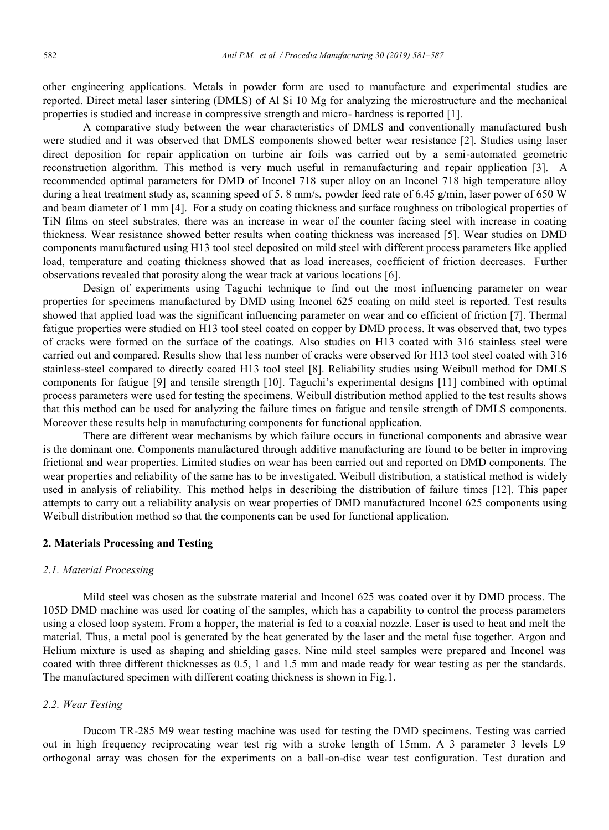other engineering applications. Metals in powder form are used to manufacture and experimental studies are reported. Direct metal laser sintering (DMLS) of Al Si 10 Mg for analyzing the microstructure and the mechanical properties is studied and increase in compressive strength and micro- hardness is reported [1].

A comparative study between the wear characteristics of DMLS and conventionally manufactured bush were studied and it was observed that DMLS components showed better wear resistance [2]. Studies using laser direct deposition for repair application on turbine air foils was carried out by a semi-automated geometric reconstruction algorithm. This method is very much useful in remanufacturing and repair application [3]. A recommended optimal parameters for DMD of Inconel 718 super alloy on an Inconel 718 high temperature alloy during a heat treatment study as, scanning speed of 5. 8 mm/s, powder feed rate of 6.45 g/min, laser power of 650 W and beam diameter of 1 mm [4]. For a study on coating thickness and surface roughness on tribological properties of TiN films on steel substrates, there was an increase in wear of the counter facing steel with increase in coating thickness. Wear resistance showed better results when coating thickness was increased [5]. Wear studies on DMD components manufactured using H13 tool steel deposited on mild steel with different process parameters like applied load, temperature and coating thickness showed that as load increases, coefficient of friction decreases. Further observations revealed that porosity along the wear track at various locations [6].

Design of experiments using Taguchi technique to find out the most influencing parameter on wear properties for specimens manufactured by DMD using Inconel 625 coating on mild steel is reported. Test results showed that applied load was the significant influencing parameter on wear and co efficient of friction [7]. Thermal fatigue properties were studied on H13 tool steel coated on copper by DMD process. It was observed that, two types of cracks were formed on the surface of the coatings. Also studies on H13 coated with 316 stainless steel were carried out and compared. Results show that less number of cracks were observed for H13 tool steel coated with 316 stainless-steel compared to directly coated H13 tool steel [8]. Reliability studies using Weibull method for DMLS components for fatigue [9] and tensile strength [10]. Taguchi's experimental designs [11] combined with optimal process parameters were used for testing the specimens. Weibull distribution method applied to the test results shows that this method can be used for analyzing the failure times on fatigue and tensile strength of DMLS components. Moreover these results help in manufacturing components for functional application.

There are different wear mechanisms by which failure occurs in functional components and abrasive wear is the dominant one. Components manufactured through additive manufacturing are found to be better in improving frictional and wear properties. Limited studies on wear has been carried out and reported on DMD components. The wear properties and reliability of the same has to be investigated. Weibull distribution, a statistical method is widely used in analysis of reliability. This method helps in describing the distribution of failure times [12]. This paper attempts to carry out a reliability analysis on wear properties of DMD manufactured Inconel 625 components using Weibull distribution method so that the components can be used for functional application.

#### **2. Materials Processing and Testing**

#### *2.1. Material Processing*

Mild steel was chosen as the substrate material and Inconel 625 was coated over it by DMD process. The 105D DMD machine was used for coating of the samples, which has a capability to control the process parameters using a closed loop system. From a hopper, the material is fed to a coaxial nozzle. Laser is used to heat and melt the material. Thus, a metal pool is generated by the heat generated by the laser and the metal fuse together. Argon and Helium mixture is used as shaping and shielding gases. Nine mild steel samples were prepared and Inconel was coated with three different thicknesses as 0.5, 1 and 1.5 mm and made ready for wear testing as per the standards. The manufactured specimen with different coating thickness is shown in Fig.1.

#### *2.2. Wear Testing*

Ducom TR-285 M9 wear testing machine was used for testing the DMD specimens. Testing was carried out in high frequency reciprocating wear test rig with a stroke length of 15mm. A 3 parameter 3 levels L9 orthogonal array was chosen for the experiments on a ball-on-disc wear test configuration. Test duration and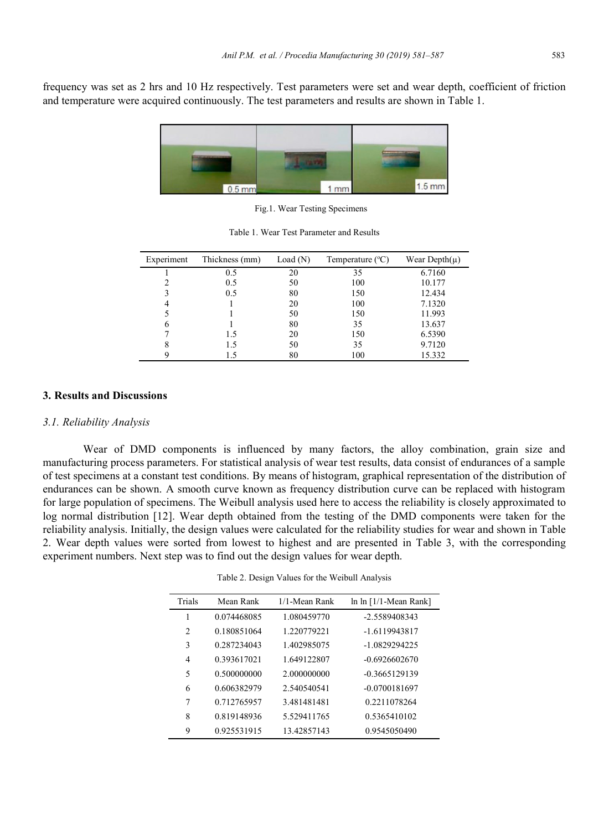frequency was set as 2 hrs and 10 Hz respectively. Test parameters were set and wear depth, coefficient of friction and temperature were acquired continuously. The test parameters and results are shown in Table 1.



Fig.1. Wear Testing Specimens

| Experiment     | Thickness (mm) | Load $(N)$ | Temperature $(^{\circ}C)$ | Wear Depth $(\mu)$ |
|----------------|----------------|------------|---------------------------|--------------------|
|                | 0.5            | 20         | 35                        | 6.7160             |
| $\mathfrak{D}$ | 0.5            | 50         | 100                       | 10.177             |
|                | 0.5            | 80         | 150                       | 12.434             |
| 4              |                | 20         | 100                       | 7.1320             |
|                |                | 50         | 150                       | 11.993             |
| 6              |                | 80         | 35                        | 13.637             |
|                | 1.5            | 20         | 150                       | 6.5390             |
| 8              | 1.5            | 50         | 35                        | 9.7120             |
|                | 1.5            | 80         | 100                       | 15.332             |

Table 1. Wear Test Parameter and Results

#### **3. Results and Discussions**

#### *3.1. Reliability Analysis*

Wear of DMD components is influenced by many factors, the alloy combination, grain size and manufacturing process parameters. For statistical analysis of wear test results, data consist of endurances of a sample of test specimens at a constant test conditions. By means of histogram, graphical representation of the distribution of endurances can be shown. A smooth curve known as frequency distribution curve can be replaced with histogram for large population of specimens. The Weibull analysis used here to access the reliability is closely approximated to log normal distribution [12]. Wear depth obtained from the testing of the DMD components were taken for the reliability analysis. Initially, the design values were calculated for the reliability studies for wear and shown in Table 2. Wear depth values were sorted from lowest to highest and are presented in Table 3, with the corresponding experiment numbers. Next step was to find out the design values for wear depth.

| Trials | Mean Rank   | 1/1-Mean Rank | $\ln \ln \left[1/1\right]$ -Mean Rank |
|--------|-------------|---------------|---------------------------------------|
|        | 0.074468085 | 1.080459770   | -2.5589408343                         |
| 2      | 0.180851064 | 1.220779221   | -1.6119943817                         |
| 3      | 0.287234043 | 1.402985075   | $-1.0829294225$                       |
| 4      | 0.393617021 | 1.649122807   | $-0.6926602670$                       |
| 5      | 0.500000000 | 2.000000000   | $-0.3665129139$                       |
| 6      | 0.606382979 | 2.540540541   | $-0.0700181697$                       |
| 7      | 0.712765957 | 3.481481481   | 0.2211078264                          |
| 8      | 0.819148936 | 5.529411765   | 0.5365410102                          |
| 9      | 0.925531915 | 13.42857143   | 0.9545050490                          |

Table 2. Design Values for the Weibull Analysis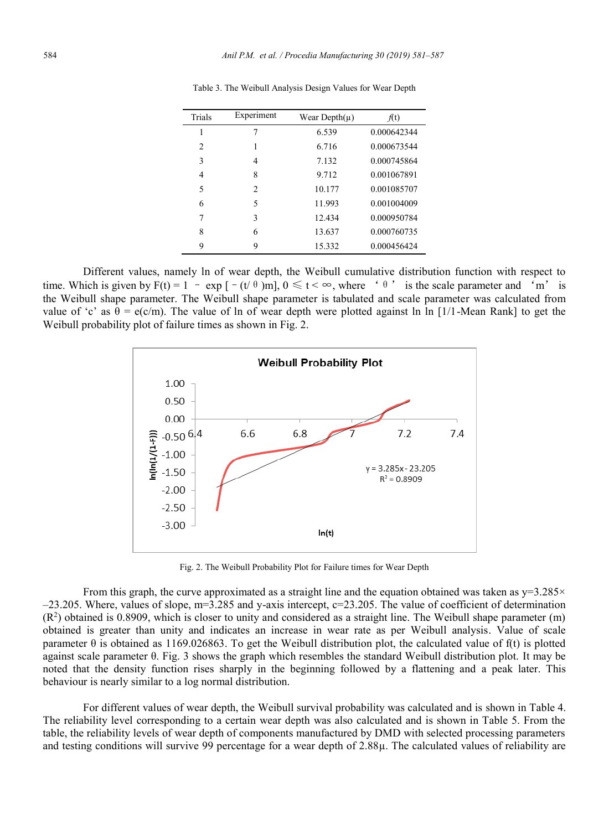| Trials         | Experiment                  | Wear Depth $(\mu)$ | f(t)        |
|----------------|-----------------------------|--------------------|-------------|
| 1              |                             | 6.539              | 0.000642344 |
| $\overline{c}$ |                             | 6.716              | 0.000673544 |
| 3              | 4                           | 7.132              | 0.000745864 |
| 4              | 8                           | 9.712              | 0.001067891 |
| 5              | $\mathcal{D}_{\mathcal{L}}$ | 10.177             | 0.001085707 |
| 6              | 5                           | 11.993             | 0.001004009 |
| 7              | 3                           | 12.434             | 0.000950784 |
| 8              | 6                           | 13.637             | 0.000760735 |
| 9              | 9                           | 15.332             | 0.000456424 |

Table 3. The Weibull Analysis Design Values for Wear Depth

Different values, namely ln of wear depth, the Weibull cumulative distribution function with respect to time. Which is given by F(t) = 1 – exp [–(t/ $\theta$ )m],  $0 \le t < \infty$ , where ' $\theta$ ' is the scale parameter and 'm' is the Weibull shape parameter. The Weibull shape parameter is tabulated and scale parameter was calculated from value of 'c' as  $\theta = e(c/m)$ . The value of ln of wear depth were plotted against ln In [1/1-Mean Rank] to get the Weibull probability plot of failure times as shown in Fig. 2.



Fig. 2. The Weibull Probability Plot for Failure times for Wear Depth

From this graph, the curve approximated as a straight line and the equation obtained was taken as  $y=3.285\times$  $-23.205$ . Where, values of slope, m=3.285 and y-axis intercept,  $c=23.205$ . The value of coefficient of determination  $(R<sup>2</sup>)$  obtained is 0.8909, which is closer to unity and considered as a straight line. The Weibull shape parameter (m) obtained is greater than unity and indicates an increase in wear rate as per Weibull analysis. Value of scale parameter  $\theta$  is obtained as 1169.026863. To get the Weibull distribution plot, the calculated value of f(t) is plotted against scale parameter θ. Fig. 3 shows the graph which resembles the standard Weibull distribution plot. It may be noted that the density function rises sharply in the beginning followed by a flattening and a peak later. This behaviour is nearly similar to a log normal distribution.

For different values of wear depth, the Weibull survival probability was calculated and is shown in Table 4. The reliability level corresponding to a certain wear depth was also calculated and is shown in Table 5. From the table, the reliability levels of wear depth of components manufactured by DMD with selected processing parameters and testing conditions will survive 99 percentage for a wear depth of 2.88µ. The calculated values of reliability are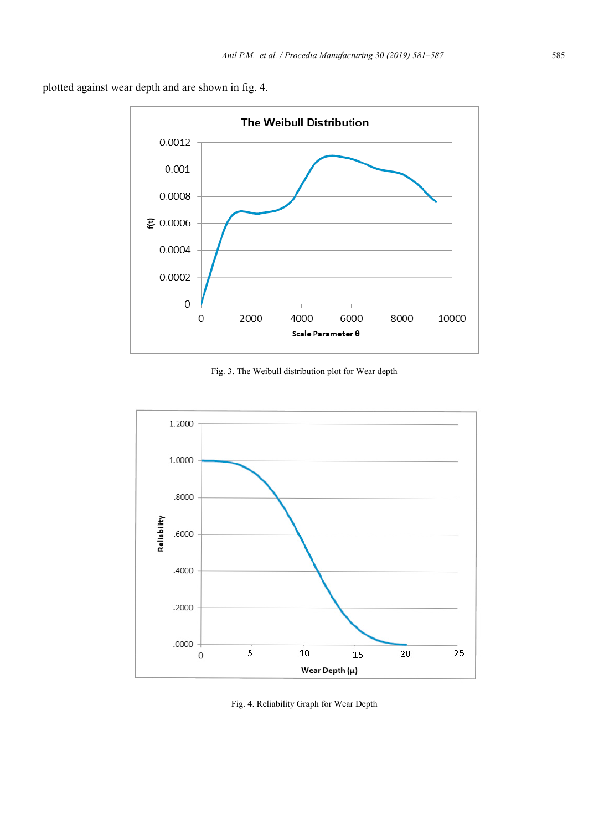plotted against wear depth and are shown in fig. 4.



Fig. 3. The Weibull distribution plot for Wear depth



Fig. 4. Reliability Graph for Wear Depth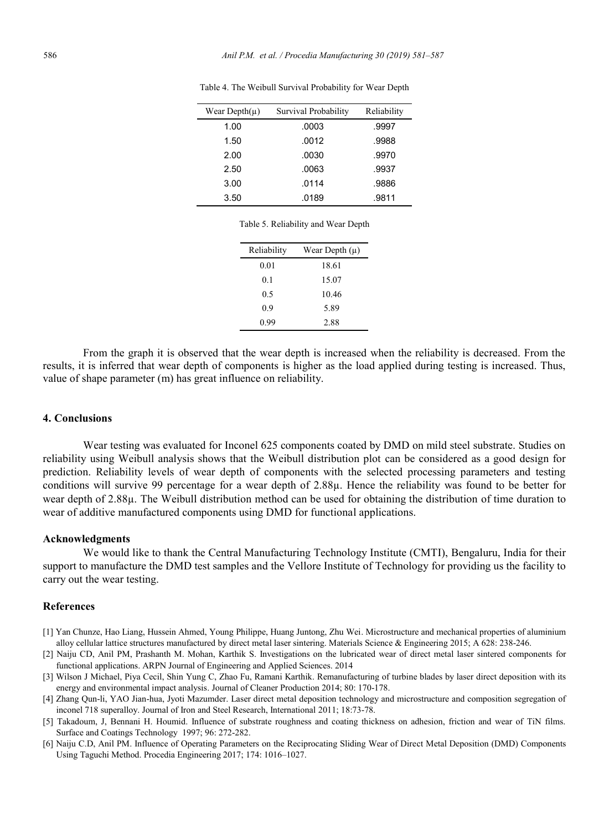| Wear Depth $(\mu)$ | Survival Probability | Reliability |
|--------------------|----------------------|-------------|
| 1.00               | .0003                | .9997       |
| 1.50               | .0012                | .9988       |
| 2.00               | .0030                | .9970       |
| 2.50               | .0063                | .9937       |
| 3.00               | .0114                | .9886       |
| 3.50               | .0189                | .9811       |

Table 4. The Weibull Survival Probability for Wear Depth

Table 5. Reliability and Wear Depth

| Reliability | Wear Depth $(\mu)$ |
|-------------|--------------------|
| 0.01        | 18.61              |
| 0.1         | 15.07              |
| 0.5         | 10.46              |
| 0.9         | 5.89               |
| 0.99        | 2.88               |

From the graph it is observed that the wear depth is increased when the reliability is decreased. From the results, it is inferred that wear depth of components is higher as the load applied during testing is increased. Thus, value of shape parameter (m) has great influence on reliability.

### **4. Conclusions**

Wear testing was evaluated for Inconel 625 components coated by DMD on mild steel substrate. Studies on reliability using Weibull analysis shows that the Weibull distribution plot can be considered as a good design for prediction. Reliability levels of wear depth of components with the selected processing parameters and testing conditions will survive 99 percentage for a wear depth of 2.88µ. Hence the reliability was found to be better for wear depth of 2.88µ. The Weibull distribution method can be used for obtaining the distribution of time duration to wear of additive manufactured components using DMD for functional applications.

#### **Acknowledgments**

We would like to thank the Central Manufacturing Technology Institute (CMTI), Bengaluru, India for their support to manufacture the DMD test samples and the Vellore Institute of Technology for providing us the facility to carry out the wear testing.

#### **References**

- [1] Yan Chunze, Hao Liang, Hussein Ahmed, Young Philippe, Huang Juntong, Zhu Wei. Microstructure and mechanical properties of aluminium alloy cellular lattice structures manufactured by direct metal laser sintering. Materials Science & Engineering 2015; A 628: 238-246.
- [2] Naiju CD, Anil PM, Prashanth M. Mohan, Karthik S. Investigations on the lubricated wear of direct metal laser sintered components for functional applications. ARPN Journal of Engineering and Applied Sciences. 2014
- [3] Wilson J Michael, Piya Cecil, Shin Yung C, Zhao Fu, Ramani Karthik. Remanufacturing of turbine blades by laser direct deposition with its energy and environmental impact analysis. Journal of Cleaner Production 2014; 80: 170-178.
- [4] Zhang Qun-li, YAO Jian-hua, Jyoti Mazumder. Laser direct metal deposition technology and microstructure and composition segregation of inconel 718 superalloy. Journal of Iron and Steel Research, International 2011; 18:73-78.
- [5] Takadoum, J, Bennani H. Houmid. Influence of substrate roughness and coating thickness on adhesion, friction and wear of TiN films. Surface and Coatings Technology 1997; 96: 272-282.
- [6] Naiju C.D, Anil PM. Influence of Operating Parameters on the Reciprocating Sliding Wear of Direct Metal Deposition (DMD) Components Using Taguchi Method. Procedia Engineering 2017; 174: 1016–1027.